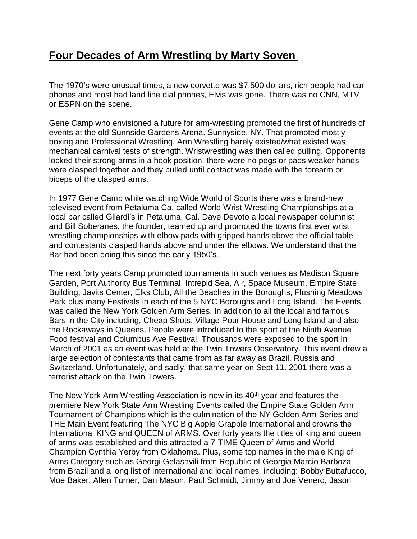## **Four Decades of Arm Wrestling by Marty Soven**

The 1970's were unusual times, a new corvette was \$7,500 dollars, rich people had car phones and most had land line dial phones, Elvis was gone. There was no CNN, MTV or ESPN on the scene.

Gene Camp who envisioned a future for arm-wrestling promoted the first of hundreds of events at the old Sunnside Gardens Arena. Sunnyside, NY. That promoted mostly boxing and Professional Wrestling. Arm Wrestling barely existed/what existed was mechanical carnival tests of strength. Wristwrestling was then called pulling. Opponents locked their strong arms in a hook position, there were no pegs or pads weaker hands were clasped together and they pulled until contact was made with the forearm or biceps of the clasped arms.

In 1977 Gene Camp while watching Wide World of Sports there was a brand-new televised event from Petaluma Ca. called World Wrist-Wrestling Championships at a local bar called Gilardi's in Petaluma, Cal. Dave Devoto a local newspaper columnist and Bill Soberanes, the founder, teamed up and promoted the towns first ever wrist wrestling championships with elbow pads with gripped hands above the official table and contestants clasped hands above and under the elbows. We understand that the Bar had been doing this since the early 1950's.

The next forty years Camp promoted tournaments in such venues as Madison Square Garden, Port Authority Bus Terminal, Intrepid Sea, Air, Space Museum, Empire State Building, Javits Center, Elks Club, All the Beaches in the Boroughs, Flushing Meadows Park plus many Festivals in each of the 5 NYC Boroughs and Long Island. The Events was called the New York Golden Arm Series. In addition to all the local and famous Bars in the City including, Cheap Shots, Village Pour House and Long Island and also the Rockaways in Queens. People were introduced to the sport at the Ninth Avenue Food festival and Columbus Ave Festival. Thousands were exposed to the sport In March of 2001 as an event was held at the Twin Towers Observatory. This event drew a large selection of contestants that came from as far away as Brazil, Russia and Switzerland. Unfortunately, and sadly, that same year on Sept 11. 2001 there was a terrorist attack on the Twin Towers.

The New York Arm Wrestling Association is now in its 40<sup>th</sup> year and features the premiere New York State Arm Wrestling Events called the Empire State Golden Arm Tournament of Champions which is the culmination of the NY Golden Arm Series and THE Main Event featuring The NYC Big Apple Grapple International and crowns the International KING and QUEEN of ARMS. Over forty years the titles of king and queen of arms was established and this attracted a 7-TIME Queen of Arms and World Champion Cynthia Yerby from Oklahoma. Plus, some top names in the male King of Arms Category such as Georgi Gelashvili from Republic of Georgia Marcio Barboza from Brazil and a long list of International and local names, including: Bobby Buttafucco, Moe Baker, Allen Turner, Dan Mason, Paul Schmidt, Jimmy and Joe Venero, Jason